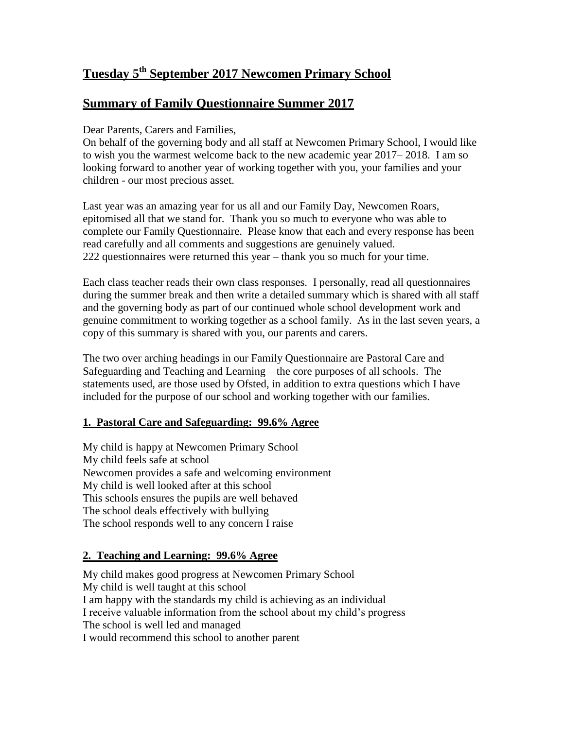# **Tuesday 5 th September 2017 Newcomen Primary School**

## **Summary of Family Questionnaire Summer 2017**

Dear Parents, Carers and Families,

On behalf of the governing body and all staff at Newcomen Primary School, I would like to wish you the warmest welcome back to the new academic year 2017– 2018. I am so looking forward to another year of working together with you, your families and your children - our most precious asset.

Last year was an amazing year for us all and our Family Day, Newcomen Roars, epitomised all that we stand for. Thank you so much to everyone who was able to complete our Family Questionnaire. Please know that each and every response has been read carefully and all comments and suggestions are genuinely valued. 222 questionnaires were returned this year – thank you so much for your time.

Each class teacher reads their own class responses. I personally, read all questionnaires during the summer break and then write a detailed summary which is shared with all staff and the governing body as part of our continued whole school development work and genuine commitment to working together as a school family. As in the last seven years, a copy of this summary is shared with you, our parents and carers.

The two over arching headings in our Family Questionnaire are Pastoral Care and Safeguarding and Teaching and Learning – the core purposes of all schools. The statements used, are those used by Ofsted, in addition to extra questions which I have included for the purpose of our school and working together with our families.

## **1. Pastoral Care and Safeguarding: 99.6% Agree**

My child is happy at Newcomen Primary School My child feels safe at school Newcomen provides a safe and welcoming environment My child is well looked after at this school This schools ensures the pupils are well behaved The school deals effectively with bullying The school responds well to any concern I raise

## **2. Teaching and Learning: 99.6% Agree**

My child makes good progress at Newcomen Primary School My child is well taught at this school I am happy with the standards my child is achieving as an individual I receive valuable information from the school about my child's progress The school is well led and managed I would recommend this school to another parent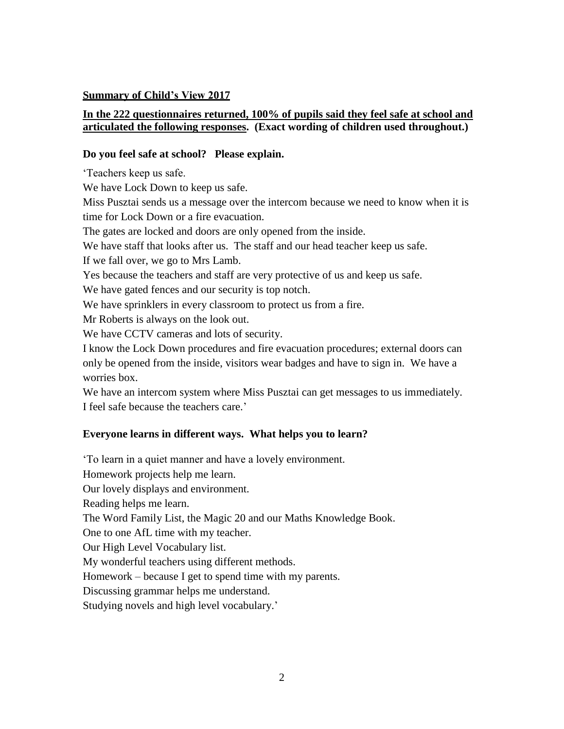#### **Summary of Child's View 2017**

#### **In the 222 questionnaires returned, 100% of pupils said they feel safe at school and articulated the following responses. (Exact wording of children used throughout.)**

#### **Do you feel safe at school? Please explain.**

'Teachers keep us safe.

We have Lock Down to keep us safe.

Miss Pusztai sends us a message over the intercom because we need to know when it is time for Lock Down or a fire evacuation.

The gates are locked and doors are only opened from the inside.

We have staff that looks after us. The staff and our head teacher keep us safe.

If we fall over, we go to Mrs Lamb.

Yes because the teachers and staff are very protective of us and keep us safe.

We have gated fences and our security is top notch.

We have sprinklers in every classroom to protect us from a fire.

Mr Roberts is always on the look out.

We have CCTV cameras and lots of security.

I know the Lock Down procedures and fire evacuation procedures; external doors can only be opened from the inside, visitors wear badges and have to sign in. We have a worries box.

We have an intercom system where Miss Pusztai can get messages to us immediately. I feel safe because the teachers care.'

#### **Everyone learns in different ways. What helps you to learn?**

'To learn in a quiet manner and have a lovely environment. Homework projects help me learn. Our lovely displays and environment. Reading helps me learn. The Word Family List, the Magic 20 and our Maths Knowledge Book. One to one AfL time with my teacher. Our High Level Vocabulary list. My wonderful teachers using different methods. Homework – because I get to spend time with my parents. Discussing grammar helps me understand. Studying novels and high level vocabulary.'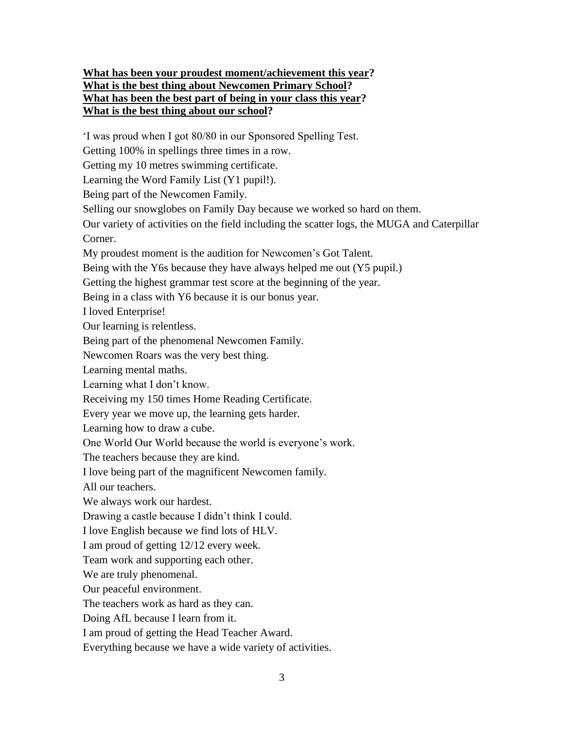## **What has been your proudest moment/achievement this year? What is the best thing about Newcomen Primary School? What has been the best part of being in your class this year? What is the best thing about our school?**

'I was proud when I got 80/80 in our Sponsored Spelling Test.

Getting 100% in spellings three times in a row.

Getting my 10 metres swimming certificate.

Learning the Word Family List (Y1 pupil!).

Being part of the Newcomen Family.

Selling our snowglobes on Family Day because we worked so hard on them.

Our variety of activities on the field including the scatter logs, the MUGA and Caterpillar Corner.

My proudest moment is the audition for Newcomen's Got Talent.

Being with the Y6s because they have always helped me out (Y5 pupil.)

Getting the highest grammar test score at the beginning of the year.

Being in a class with Y6 because it is our bonus year.

I loved Enterprise!

Our learning is relentless.

Being part of the phenomenal Newcomen Family.

Newcomen Roars was the very best thing.

Learning mental maths.

Learning what I don't know.

Receiving my 150 times Home Reading Certificate.

Every year we move up, the learning gets harder.

Learning how to draw a cube.

One World Our World because the world is everyone's work.

The teachers because they are kind.

I love being part of the magnificent Newcomen family.

All our teachers.

We always work our hardest.

Drawing a castle because I didn't think I could.

I love English because we find lots of HLV.

I am proud of getting 12/12 every week.

Team work and supporting each other.

We are truly phenomenal.

Our peaceful environment.

The teachers work as hard as they can.

Doing AfL because I learn from it.

I am proud of getting the Head Teacher Award.

Everything because we have a wide variety of activities.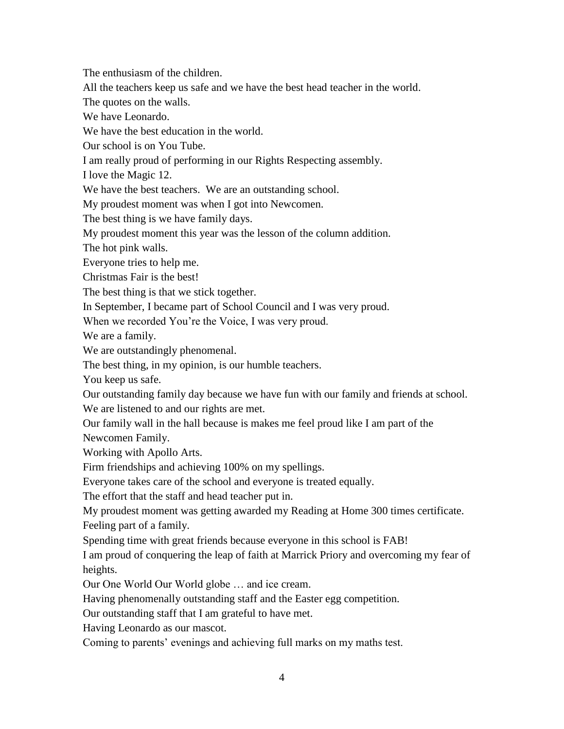The enthusiasm of the children.

All the teachers keep us safe and we have the best head teacher in the world.

The quotes on the walls.

We have Leonardo.

We have the best education in the world.

Our school is on You Tube.

I am really proud of performing in our Rights Respecting assembly.

I love the Magic 12.

We have the best teachers. We are an outstanding school.

My proudest moment was when I got into Newcomen.

The best thing is we have family days.

My proudest moment this year was the lesson of the column addition.

The hot pink walls.

Everyone tries to help me.

Christmas Fair is the best!

The best thing is that we stick together.

In September, I became part of School Council and I was very proud.

When we recorded You're the Voice, I was very proud.

We are a family.

We are outstandingly phenomenal.

The best thing, in my opinion, is our humble teachers.

You keep us safe.

Our outstanding family day because we have fun with our family and friends at school. We are listened to and our rights are met.

Our family wall in the hall because is makes me feel proud like I am part of the

Newcomen Family.

Working with Apollo Arts.

Firm friendships and achieving 100% on my spellings.

Everyone takes care of the school and everyone is treated equally.

The effort that the staff and head teacher put in.

My proudest moment was getting awarded my Reading at Home 300 times certificate.

Feeling part of a family.

Spending time with great friends because everyone in this school is FAB!

I am proud of conquering the leap of faith at Marrick Priory and overcoming my fear of heights.

Our One World Our World globe … and ice cream.

Having phenomenally outstanding staff and the Easter egg competition.

Our outstanding staff that I am grateful to have met.

Having Leonardo as our mascot.

Coming to parents' evenings and achieving full marks on my maths test.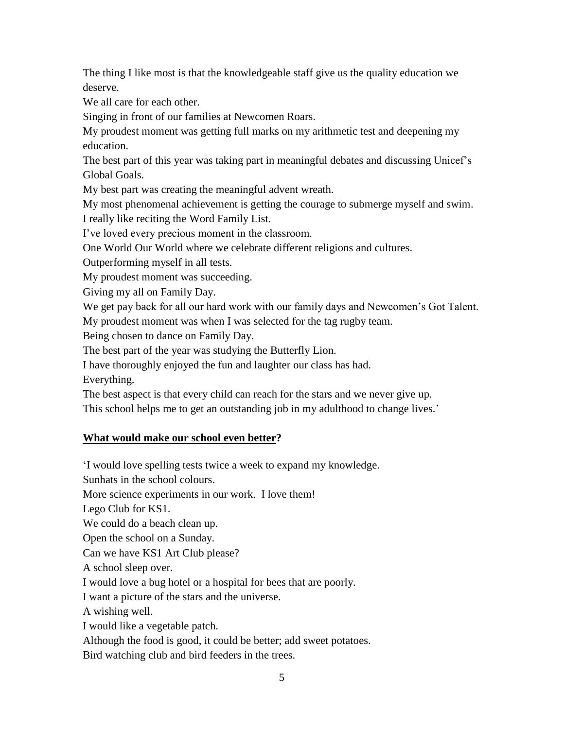The thing I like most is that the knowledgeable staff give us the quality education we deserve.

We all care for each other.

Singing in front of our families at Newcomen Roars.

My proudest moment was getting full marks on my arithmetic test and deepening my education.

The best part of this year was taking part in meaningful debates and discussing Unicef's Global Goals.

My best part was creating the meaningful advent wreath.

My most phenomenal achievement is getting the courage to submerge myself and swim.

I really like reciting the Word Family List.

I've loved every precious moment in the classroom.

One World Our World where we celebrate different religions and cultures.

Outperforming myself in all tests.

My proudest moment was succeeding.

Giving my all on Family Day.

We get pay back for all our hard work with our family days and Newcomen's Got Talent.

My proudest moment was when I was selected for the tag rugby team.

Being chosen to dance on Family Day.

The best part of the year was studying the Butterfly Lion.

I have thoroughly enjoyed the fun and laughter our class has had.

Everything.

The best aspect is that every child can reach for the stars and we never give up.

This school helps me to get an outstanding job in my adulthood to change lives.'

## **What would make our school even better?**

'I would love spelling tests twice a week to expand my knowledge.

Sunhats in the school colours.

More science experiments in our work. I love them!

Lego Club for KS1.

We could do a beach clean up.

Open the school on a Sunday.

Can we have KS1 Art Club please?

A school sleep over.

I would love a bug hotel or a hospital for bees that are poorly.

I want a picture of the stars and the universe.

A wishing well.

I would like a vegetable patch.

Although the food is good, it could be better; add sweet potatoes.

Bird watching club and bird feeders in the trees.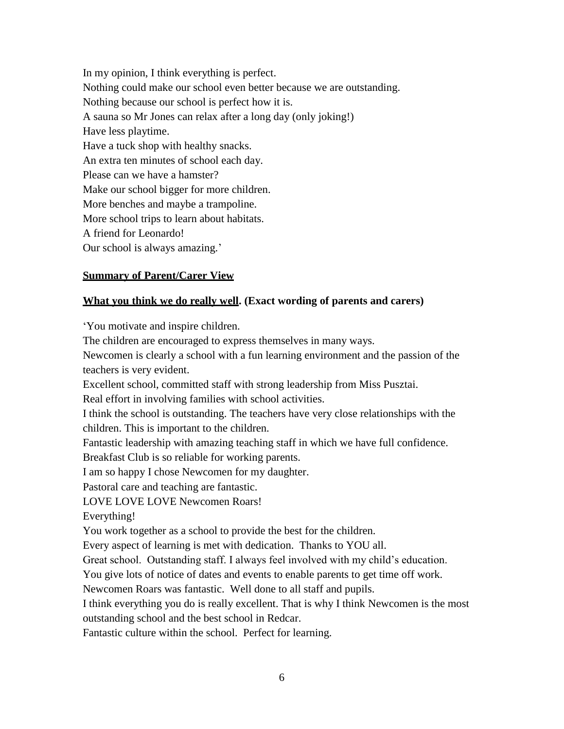In my opinion, I think everything is perfect. Nothing could make our school even better because we are outstanding. Nothing because our school is perfect how it is. A sauna so Mr Jones can relax after a long day (only joking!) Have less playtime. Have a tuck shop with healthy snacks. An extra ten minutes of school each day. Please can we have a hamster? Make our school bigger for more children. More benches and maybe a trampoline. More school trips to learn about habitats. A friend for Leonardo! Our school is always amazing.'

#### **Summary of Parent/Carer View**

#### **What you think we do really well. (Exact wording of parents and carers)**

'You motivate and inspire children.

The children are encouraged to express themselves in many ways.

Newcomen is clearly a school with a fun learning environment and the passion of the teachers is very evident.

Excellent school, committed staff with strong leadership from Miss Pusztai.

Real effort in involving families with school activities.

I think the school is outstanding. The teachers have very close relationships with the children. This is important to the children.

Fantastic leadership with amazing teaching staff in which we have full confidence.

Breakfast Club is so reliable for working parents.

I am so happy I chose Newcomen for my daughter.

Pastoral care and teaching are fantastic.

LOVE LOVE LOVE Newcomen Roars!

Everything!

You work together as a school to provide the best for the children.

Every aspect of learning is met with dedication. Thanks to YOU all.

Great school. Outstanding staff. I always feel involved with my child's education.

You give lots of notice of dates and events to enable parents to get time off work.

Newcomen Roars was fantastic. Well done to all staff and pupils.

I think everything you do is really excellent. That is why I think Newcomen is the most outstanding school and the best school in Redcar.

Fantastic culture within the school. Perfect for learning.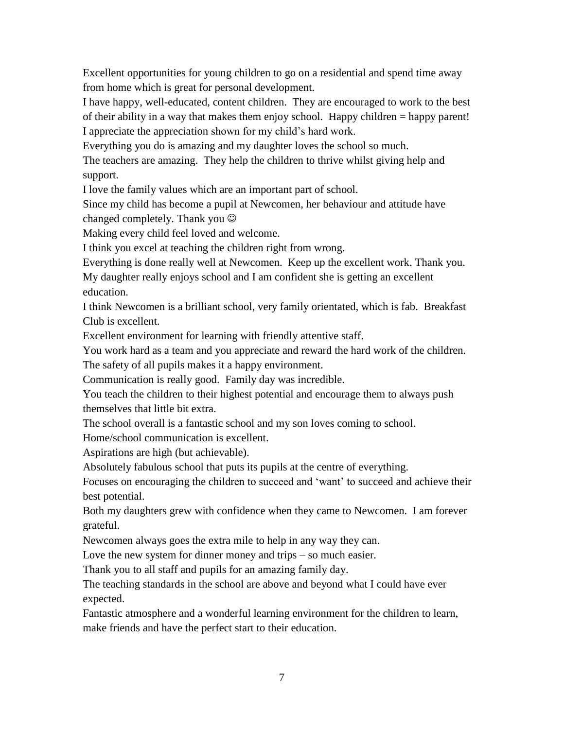Excellent opportunities for young children to go on a residential and spend time away from home which is great for personal development.

I have happy, well-educated, content children. They are encouraged to work to the best of their ability in a way that makes them enjoy school. Happy children = happy parent! I appreciate the appreciation shown for my child's hard work.

Everything you do is amazing and my daughter loves the school so much.

The teachers are amazing. They help the children to thrive whilst giving help and support.

I love the family values which are an important part of school.

Since my child has become a pupil at Newcomen, her behaviour and attitude have changed completely. Thank you

Making every child feel loved and welcome.

I think you excel at teaching the children right from wrong.

Everything is done really well at Newcomen. Keep up the excellent work. Thank you. My daughter really enjoys school and I am confident she is getting an excellent education.

I think Newcomen is a brilliant school, very family orientated, which is fab. Breakfast Club is excellent.

Excellent environment for learning with friendly attentive staff.

You work hard as a team and you appreciate and reward the hard work of the children.

The safety of all pupils makes it a happy environment.

Communication is really good. Family day was incredible.

You teach the children to their highest potential and encourage them to always push themselves that little bit extra.

The school overall is a fantastic school and my son loves coming to school.

Home/school communication is excellent.

Aspirations are high (but achievable).

Absolutely fabulous school that puts its pupils at the centre of everything.

Focuses on encouraging the children to succeed and 'want' to succeed and achieve their best potential.

Both my daughters grew with confidence when they came to Newcomen. I am forever grateful.

Newcomen always goes the extra mile to help in any way they can.

Love the new system for dinner money and trips – so much easier.

Thank you to all staff and pupils for an amazing family day.

The teaching standards in the school are above and beyond what I could have ever expected.

Fantastic atmosphere and a wonderful learning environment for the children to learn, make friends and have the perfect start to their education.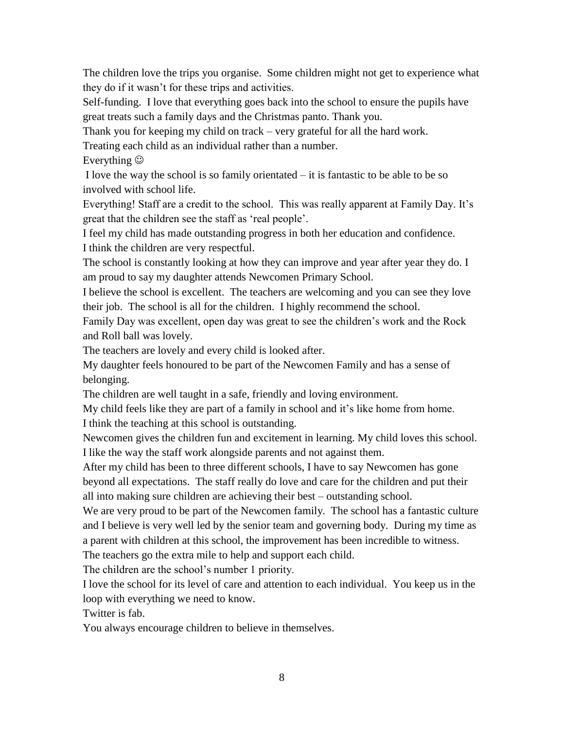The children love the trips you organise. Some children might not get to experience what they do if it wasn't for these trips and activities.

Self-funding. I love that everything goes back into the school to ensure the pupils have great treats such a family days and the Christmas panto. Thank you.

Thank you for keeping my child on track – very grateful for all the hard work.

Treating each child as an individual rather than a number.

Everything  $\odot$ 

I love the way the school is so family orientated – it is fantastic to be able to be so involved with school life.

Everything! Staff are a credit to the school. This was really apparent at Family Day. It's great that the children see the staff as 'real people'.

I feel my child has made outstanding progress in both her education and confidence. I think the children are very respectful.

The school is constantly looking at how they can improve and year after year they do. I am proud to say my daughter attends Newcomen Primary School.

I believe the school is excellent. The teachers are welcoming and you can see they love their job. The school is all for the children. I highly recommend the school.

Family Day was excellent, open day was great to see the children's work and the Rock and Roll ball was lovely.

The teachers are lovely and every child is looked after.

My daughter feels honoured to be part of the Newcomen Family and has a sense of belonging.

The children are well taught in a safe, friendly and loving environment.

My child feels like they are part of a family in school and it's like home from home. I think the teaching at this school is outstanding.

Newcomen gives the children fun and excitement in learning. My child loves this school. I like the way the staff work alongside parents and not against them.

After my child has been to three different schools, I have to say Newcomen has gone beyond all expectations. The staff really do love and care for the children and put their all into making sure children are achieving their best – outstanding school.

We are very proud to be part of the Newcomen family. The school has a fantastic culture and I believe is very well led by the senior team and governing body. During my time as a parent with children at this school, the improvement has been incredible to witness.

The teachers go the extra mile to help and support each child.

The children are the school's number 1 priority.

I love the school for its level of care and attention to each individual. You keep us in the loop with everything we need to know.

Twitter is fab.

You always encourage children to believe in themselves.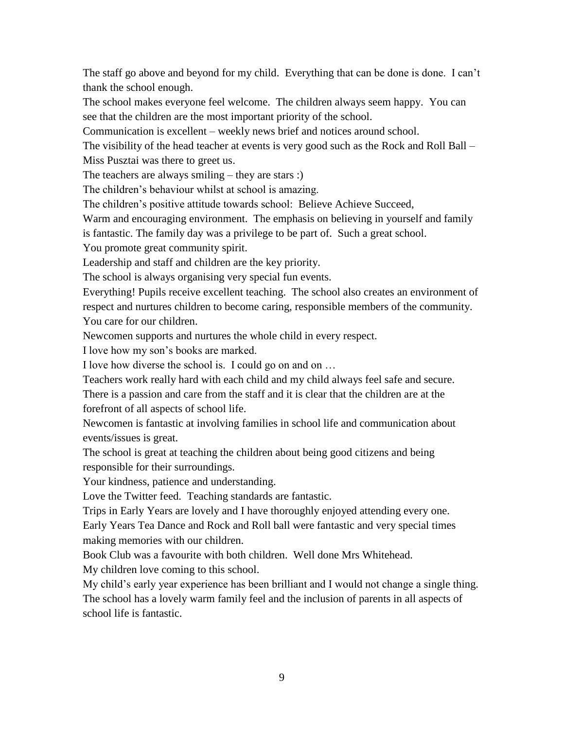The staff go above and beyond for my child. Everything that can be done is done. I can't thank the school enough.

The school makes everyone feel welcome. The children always seem happy. You can see that the children are the most important priority of the school.

Communication is excellent – weekly news brief and notices around school.

The visibility of the head teacher at events is very good such as the Rock and Roll Ball – Miss Pusztai was there to greet us.

The teachers are always smiling – they are stars :)

The children's behaviour whilst at school is amazing.

The children's positive attitude towards school: Believe Achieve Succeed,

Warm and encouraging environment. The emphasis on believing in yourself and family

is fantastic. The family day was a privilege to be part of. Such a great school.

You promote great community spirit.

Leadership and staff and children are the key priority.

The school is always organising very special fun events.

Everything! Pupils receive excellent teaching. The school also creates an environment of respect and nurtures children to become caring, responsible members of the community. You care for our children.

Newcomen supports and nurtures the whole child in every respect.

I love how my son's books are marked.

I love how diverse the school is. I could go on and on …

Teachers work really hard with each child and my child always feel safe and secure.

There is a passion and care from the staff and it is clear that the children are at the forefront of all aspects of school life.

Newcomen is fantastic at involving families in school life and communication about events/issues is great.

The school is great at teaching the children about being good citizens and being responsible for their surroundings.

Your kindness, patience and understanding.

Love the Twitter feed. Teaching standards are fantastic.

Trips in Early Years are lovely and I have thoroughly enjoyed attending every one.

Early Years Tea Dance and Rock and Roll ball were fantastic and very special times making memories with our children.

Book Club was a favourite with both children. Well done Mrs Whitehead.

My children love coming to this school.

My child's early year experience has been brilliant and I would not change a single thing. The school has a lovely warm family feel and the inclusion of parents in all aspects of school life is fantastic.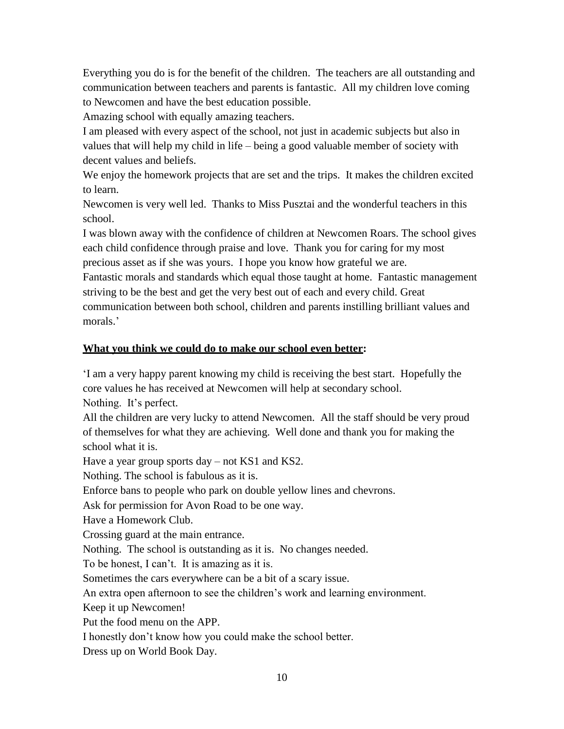Everything you do is for the benefit of the children. The teachers are all outstanding and communication between teachers and parents is fantastic. All my children love coming to Newcomen and have the best education possible.

Amazing school with equally amazing teachers.

I am pleased with every aspect of the school, not just in academic subjects but also in values that will help my child in life – being a good valuable member of society with decent values and beliefs.

We enjoy the homework projects that are set and the trips. It makes the children excited to learn.

Newcomen is very well led. Thanks to Miss Pusztai and the wonderful teachers in this school.

I was blown away with the confidence of children at Newcomen Roars. The school gives each child confidence through praise and love. Thank you for caring for my most precious asset as if she was yours. I hope you know how grateful we are.

Fantastic morals and standards which equal those taught at home. Fantastic management striving to be the best and get the very best out of each and every child. Great communication between both school, children and parents instilling brilliant values and morals.'

## **What you think we could do to make our school even better:**

'I am a very happy parent knowing my child is receiving the best start. Hopefully the core values he has received at Newcomen will help at secondary school. Nothing. It's perfect.

All the children are very lucky to attend Newcomen. All the staff should be very proud of themselves for what they are achieving. Well done and thank you for making the school what it is.

Have a year group sports day – not KS1 and KS2.

Nothing. The school is fabulous as it is.

Enforce bans to people who park on double yellow lines and chevrons.

Ask for permission for Avon Road to be one way.

Have a Homework Club.

Crossing guard at the main entrance.

Nothing. The school is outstanding as it is. No changes needed.

To be honest, I can't. It is amazing as it is.

Sometimes the cars everywhere can be a bit of a scary issue.

An extra open afternoon to see the children's work and learning environment.

Keep it up Newcomen!

Put the food menu on the APP.

I honestly don't know how you could make the school better.

Dress up on World Book Day.